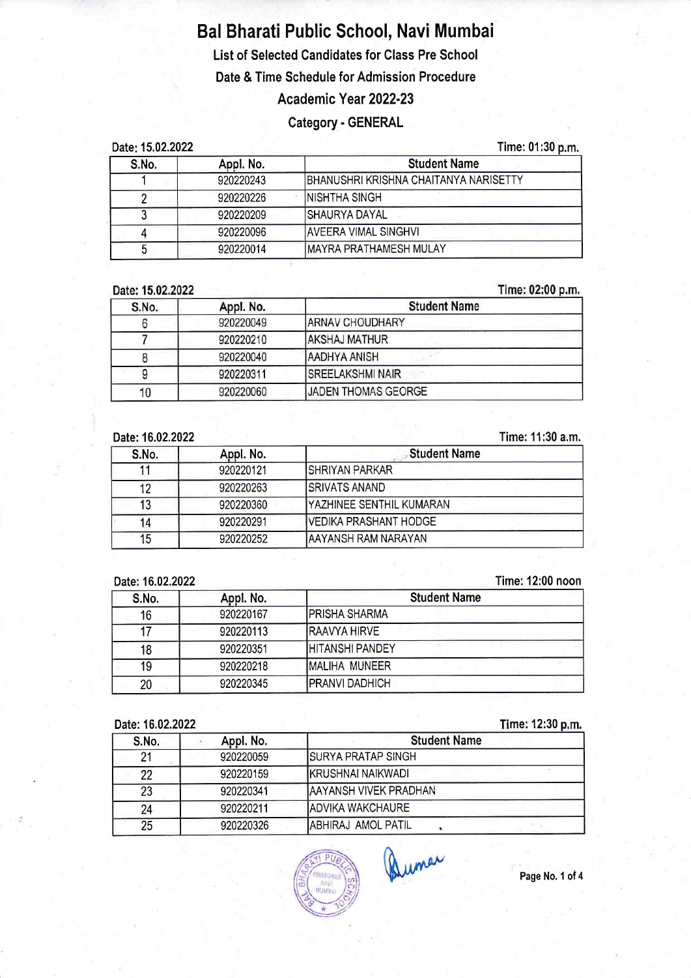# Bal Bharati Public Schoo!, Navi Mumbai

List of Selected Candidates for Class Pre Schoo!

Date & Time Schedule for Admission Procedure

# Academic Year 2022-23

## Category - GENERAL

| Date: 15.02.2022<br>S.No.<br>Appl. No. |           | Time: 01:30 p.m.<br><b>Student Name</b> |  |
|----------------------------------------|-----------|-----------------------------------------|--|
|                                        |           |                                         |  |
|                                        | 920220226 | INISHTHA SINGH                          |  |
|                                        | 920220209 | <b>SHAURYA DAYAL</b>                    |  |
|                                        | 920220096 | <b>IAVEERA VIMAL SINGHVI</b>            |  |
|                                        | 920220014 | <b>IMAYRA PRATHAMESH MULAY</b>          |  |

#### Date: 15.02.2022

Time:  $02:00 \text{ n.m.}$ 

| S.No. | Appl. No. | <b>Student Name</b>        |
|-------|-----------|----------------------------|
|       | 920220049 | <b>JARNAV CHOUDHARY</b>    |
|       | 920220210 | <b>AKSHAJ MATHUR</b>       |
|       | 920220040 | <b>AADHYA ANISH</b>        |
|       | 920220311 | <b>ISREELAKSHMI NAIR</b>   |
|       | 920220060 | <b>JADEN THOMAS GEORGE</b> |

#### Date:16.02.2022

#### Time: 11:30 a.m,

| S.No. | Appl. No. | <b>Student Name</b>              |
|-------|-----------|----------------------------------|
|       | 920220121 | ISHRIYAN PARKAR                  |
| 12    | 920220263 | <b>ISRIVATS ANAND</b>            |
| 13    | 920220360 | <b>IYAZHINEE SENTHIL KUMARAN</b> |
| 14    | 920220291 | <b>VEDIKA PRASHANT HODGE</b>     |
| 15    | 920220252 | IAAYANSH RAM NARAYAN             |

#### Date:16.02.2022

### Time: 12:00 noon

| S.No.           | Appl. No. | <b>Student Name</b>    |
|-----------------|-----------|------------------------|
| 16 <sup>°</sup> | 920220167 | IPRISHA SHARMA         |
|                 | 920220113 | <b>IRAAVYA HIRVE</b>   |
| 18              | 920220351 | IHITANSHI PANDEY       |
| 19              | 920220218 | <b>MALIHA MUNEER</b>   |
| 20              | 920220345 | <b>IPRANVI DADHICH</b> |

## Date:16.02.2022

#### me: 12:30

| DOLG. IV.V <i>lievel</i> |           | <b>THUS TERM MILL</b>         |
|--------------------------|-----------|-------------------------------|
| S.No.                    | Appl. No. | <b>Student Name</b>           |
| 21                       | 920220059 | <b>ISURYA PRATAP SINGH</b>    |
| 22                       | 920220159 | <b>IKRUSHNAI NAIKWADI</b>     |
| 23                       | 920220341 | <b>JAAYANSH VIVEK PRADHAN</b> |
| 24                       | 920220211 | <b>IADVIKA WAKCHAURE</b>      |
| 25                       | 920220326 | IABHIRAJ AMOL PATIL           |



Quiner

Page No. 1 of 4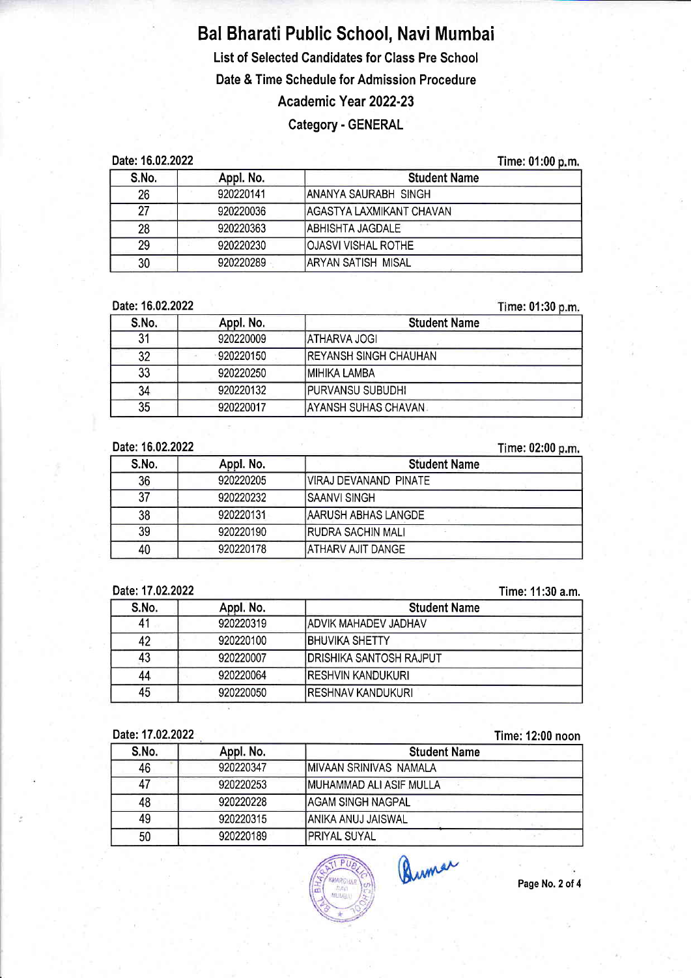# Bal Bharati Public School, Navi Mumbai List of Selected Candidates for Class Pre School Date & Time Schedule for Admission Procedure Academic Year 2022-23

## Category - GENERAL

Date:16.02.2022

Time: 01:00 m.

| S.No. | Appl. No. | <b>Student Name</b>        |  |
|-------|-----------|----------------------------|--|
| 26    | 920220141 | IANANYA SAURABH SINGH      |  |
| 27    | 920220036 | IAGASTYA LAXMIKANT CHAVAN  |  |
| 28    | 920220363 | IABHISHTA JAGDALE.         |  |
| 29    | 920220230 | <b>OJASVI VISHAL ROTHE</b> |  |
| 30    | 920220289 | IARYAN SATISH MISAL        |  |

Date:16.02.2022

me: 01:30

| S.No. | Appl. No. | <b>Student Name</b>           |
|-------|-----------|-------------------------------|
| 21    | 920220009 | IATHARVA JOGI                 |
| 32    | 920220150 | <b>IREYANSH SINGH CHAUHAN</b> |
| 33    | 920220250 | IMIHIKA LAMBA                 |
| 34    | 920220132 | <b>IPURVANSU SUBUDHI</b>      |
| 35    | 920220017 | AYANSH SUHAS CHAVAN.          |

Date:16.02.2022

me: 02:00 S.No. Appl. No. Student Name 36 920220205 VIRAJ DEVANAND PINATE 37 920220232 SAANVI SINGH 38 920220131 AARUSH ABHAS LANGDE

Date: 17.02.2022

Time: 11:30 a.m.

| ---------------- |           | .                               |
|------------------|-----------|---------------------------------|
| S.No.            | Appl. No. | <b>Student Name</b>             |
|                  | 920220319 | <b>ADVIK MAHADEV JADHAV</b>     |
| 42               | 920220100 | <b>IBHUVIKA SHETTY</b>          |
| 43               | 920220007 | <b>IDRISHIKA SANTOSH RAJPUT</b> |
| 44               | 920220064 | <b>RESHVIN KANDUKURI</b>        |
| 45               | 920220050 | <b>RESHNAV KANDUKURI</b>        |

39 920220190 RUDRA SACHIN MALI 40 920220178 ATHARV AJIT DANGE

Date:17.02.2022

Time: 12:00 noon

| S.No. | Appl. No. | <b>Student Name</b>      |  |
|-------|-----------|--------------------------|--|
| 46    | 920220347 | IMIVAAN SRINIVAS NAMALA  |  |
|       | 920220253 | IMUHAMMAD ALI ASIF MULLA |  |
| 48    | 920220228 | <b>AGAM SINGH NAGPAL</b> |  |
| 49    | 920220315 | IANIKA ANUJ JAISWAL      |  |
| 50    | 920220189 | <b>IPRIYAL SUYAL</b>     |  |



Quman

Page No. 2 of 4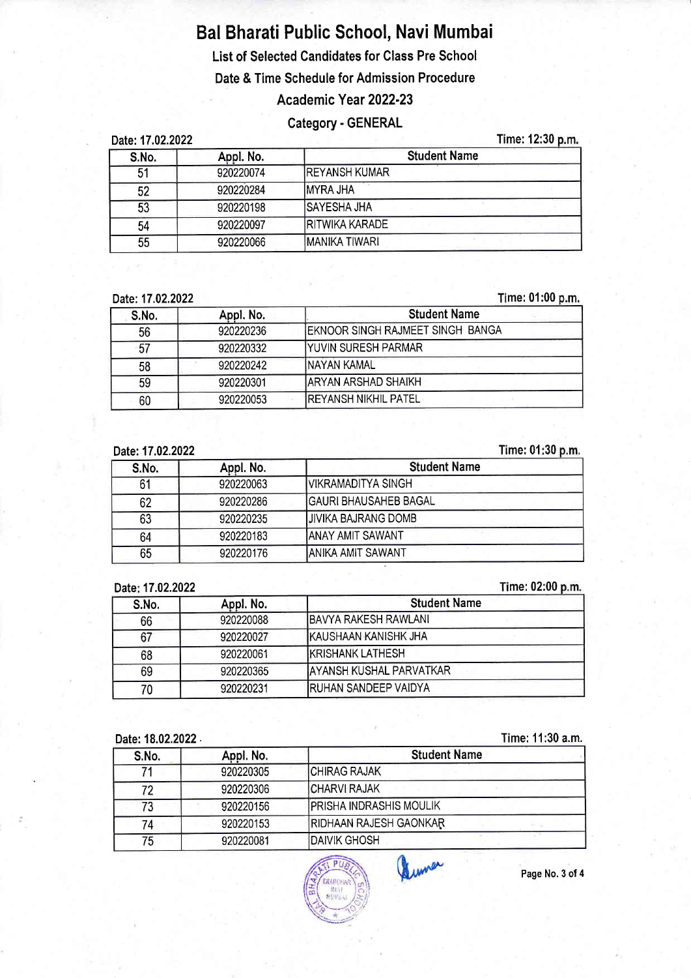# Bal Bharati Public School, Navi Mumbai

List of Selected Candidates for Class Pre School

Date & Time Schedule for Admission Procedure

## Academic Year 2022-23

## Category - GENERAL

Date: 17.02.2022 Time: 12:30 p.m.

| S.No. | Appl. No. | <b>Student Name</b> |
|-------|-----------|---------------------|
| 51    | 920220074 | IREYANSH KUMAR      |
| 52    | 920220284 | <b>IMYRA JHA</b>    |
| 53    | 920220198 | <b>ISAYESHA JHA</b> |
| 54    | 920220097 | RITWIKA KARADE      |
| 55    | 920220066 | IMANIKA TIWARI      |

Date: 17.02.2022

me: 01:00

| S.No. | Appl. No. | <b>Student Name</b>                      |
|-------|-----------|------------------------------------------|
| 56    | 920220236 | <b>JEKNOOR SINGH RAJMEET SINGH BANGA</b> |
| -57   | 920220332 | <b>IYUVIN SURESH PARMAR</b>              |
| 58    | 920220242 | <b>INAYAN KAMAL</b>                      |
| 59    | 920220301 | <b>JARYAN ARSHAD SHAIKH</b>              |
| 60    | 920220053 | IREYANSH NIKHIL PATEL                    |

17.02.2022 Date:

#### Time: 01:30 p.m.

| S.No. | Appl. No. | <b>Student Name</b>         |
|-------|-----------|-----------------------------|
| 61    | 920220063 | IVIKRAMADITYA SINGH         |
| 62    | 920220286 | İGAURI BHAUSAHEB BAGAL      |
| 63    | 920220235 | <b>IJIVIKA BAJRANG DOMB</b> |
| 64    | 920220183 | IANAY AMIT SAWANT           |
| 65    | 920220176 | IANIKA AMIT SAWANT          |

Date: 17.02.2022

#### me: 02:00

| S.No. | Appl. No. | <b>Student Name</b>             |
|-------|-----------|---------------------------------|
| 66    | 920220088 | IBAVYA RAKESH RAWLANI           |
| 67    | 920220027 | <b>IKAUSHAAN KANISHK JHA</b>    |
| 68    | 920220061 | <b>IKRISHANK LATHESH</b>        |
| 69    | 920220365 | <b>JAYANSH KUSHAL PARVATKAR</b> |
| 70    | 920220231 | <b>IRUHAN SANDEEP VAIDYA</b>    |

#### Date: 18.02.2022 .

Time: 11:30 a.m.

| S.No. | Appl. No. | <b>Student Name</b>            |
|-------|-----------|--------------------------------|
|       | 920220305 | CHIRAG RAJAK                   |
| 72    | 920220306 | <b>CHARVI RAJAK</b>            |
| 73    | 920220156 | <b>PRISHA INDRASHIS MOULIK</b> |
| 74    | 920220153 | <b>RIDHAAN RAJESH GAONKAR</b>  |
| 75    | 920220081 | <b>DAIVIK GHOSH</b>            |



Page No. 3 of 4